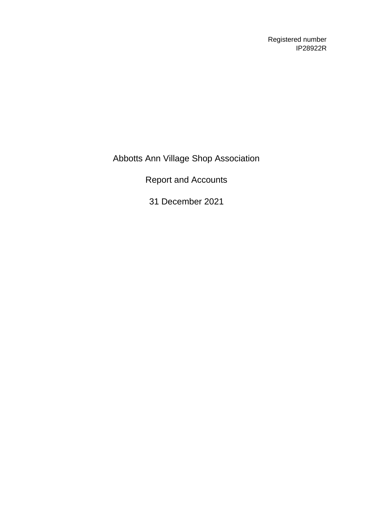Registered number IP28922R

Abbotts Ann Village Shop Association

Report and Accounts

31 December 2021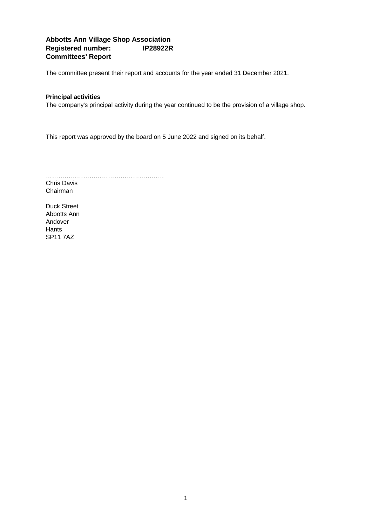## **Abbotts Ann Village Shop Association Registered number: IP28922R Committees' Report**

The committee present their report and accounts for the year ended 31 December 2021.

#### **Principal activities**

The company's principal activity during the year continued to be the provision of a village shop.

This report was approved by the board on 5 June 2022 and signed on its behalf.

………………………………………………… Chris Davis Chairman

Duck Street Abbotts Ann Andover **Hants** SP11 7AZ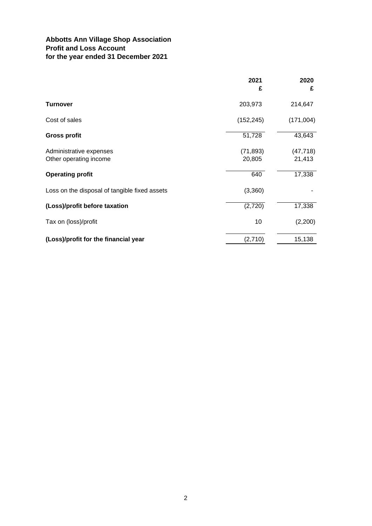# **Abbotts Ann Village Shop Association Profit and Loss Account for the year ended 31 December 2021**

|                                               | 2021       | 2020      |
|-----------------------------------------------|------------|-----------|
|                                               | £          | £         |
| Turnover                                      | 203,973    | 214,647   |
| Cost of sales                                 | (152, 245) | (171,004) |
| <b>Gross profit</b>                           | 51,728     | 43,643    |
| Administrative expenses                       | (71, 893)  | (47, 718) |
| Other operating income                        | 20,805     | 21,413    |
| <b>Operating profit</b>                       | 640        | 17,338    |
| Loss on the disposal of tangible fixed assets | (3,360)    |           |
| (Loss)/profit before taxation                 | (2,720)    | 17,338    |
| Tax on (loss)/profit                          | 10         | (2,200)   |
| (Loss)/profit for the financial year          | (2,710)    | 15,138    |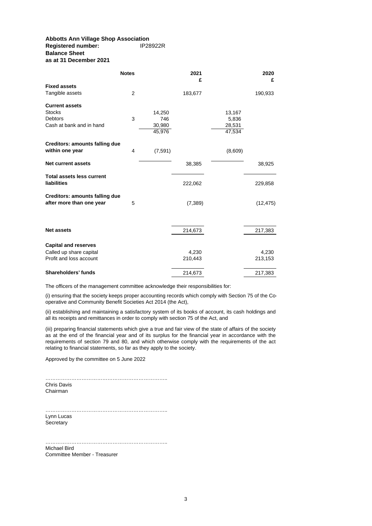#### **Abbotts Ann Village Shop Association Registered number: Balance Sheet as at 31 December 2021**

|                                       | <b>Notes</b>   |         | 2021<br>£ |         | 2020<br>£ |
|---------------------------------------|----------------|---------|-----------|---------|-----------|
| <b>Fixed assets</b>                   |                |         |           |         |           |
| Tangible assets                       | $\overline{2}$ |         | 183,677   |         | 190,933   |
| <b>Current assets</b>                 |                |         |           |         |           |
| <b>Stocks</b>                         |                | 14,250  |           | 13,167  |           |
| <b>Debtors</b>                        | 3              | 746     |           | 5,836   |           |
| Cash at bank and in hand              |                | 30,980  |           | 28,531  |           |
|                                       |                | 45,976  |           | 47,534  |           |
| <b>Creditors: amounts falling due</b> |                |         |           |         |           |
| within one year                       | 4              | (7,591) |           | (8,609) |           |
| <b>Net current assets</b>             |                |         | 38,385    |         | 38,925    |
| <b>Total assets less current</b>      |                |         |           |         |           |
| liabilities                           |                |         | 222,062   |         | 229,858   |
| <b>Creditors: amounts falling due</b> |                |         |           |         |           |
| after more than one year              | 5              |         | (7, 389)  |         | (12, 475) |
|                                       |                |         |           |         |           |
| <b>Net assets</b>                     |                |         | 214,673   |         | 217,383   |
| <b>Capital and reserves</b>           |                |         |           |         |           |
| Called up share capital               |                |         | 4,230     |         | 4,230     |
| Profit and loss account               |                |         | 210,443   |         | 213,153   |
| Shareholders' funds                   |                |         | 214,673   |         | 217,383   |

The officers of the management committee acknowledge their responsibilities for:

(i) ensuring that the society keeps proper accounting records which comply with Section 75 of the Cooperative and Community Benefit Societies Act 2014 (the Act),

(ii) establishing and maintaining a satisfactory system of its books of account, its cash holdings and all its receipts and remittances in order to comply with section 75 of the Act, and

(iii) preparing financial statements which give a true and fair view of the state of affairs of the society as at the end of the financial year and of its surplus for the financial year in accordance with the requirements of section 79 and 80, and which otherwise comply with the requirements of the act relating to financial statements, so far as they apply to the society.

Approved by the committee on 5 June 2022

…………………………………………………………….. Chris Davis Chairman

Lynn Lucas **Secretary** ……………………………………………………………..

Michael Bird<br>Committee Member - Treasurer Committee Member - Treasurer ……………………………………………………………..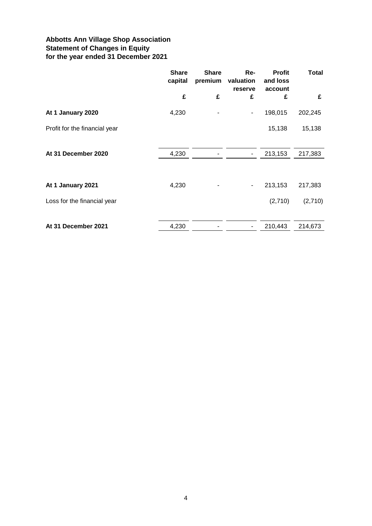# **Abbotts Ann Village Shop Association Statement of Changes in Equity for the year ended 31 December 2021**

|                               | <b>Share</b><br>capital | <b>Share</b><br>premium | Re-<br>valuation<br>reserve  | <b>Profit</b><br>and loss<br>account | <b>Total</b> |
|-------------------------------|-------------------------|-------------------------|------------------------------|--------------------------------------|--------------|
|                               | £                       | £                       | £                            | £                                    | £            |
| At 1 January 2020             | 4,230                   |                         | $\qquad \qquad \blacksquare$ | 198,015                              | 202,245      |
| Profit for the financial year |                         |                         |                              | 15,138                               | 15,138       |
| At 31 December 2020           | 4,230                   |                         | $\blacksquare$               | 213,153                              | 217,383      |
| At 1 January 2021             | 4,230                   |                         | $\overline{\phantom{a}}$     | 213,153                              | 217,383      |
| Loss for the financial year   |                         |                         |                              | (2,710)                              | (2,710)      |
| At 31 December 2021           | 4,230                   |                         | ٠                            | 210,443                              | 214,673      |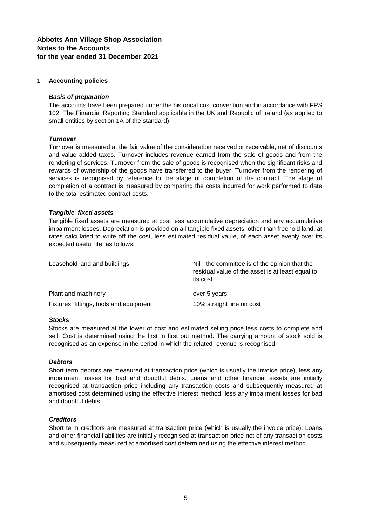### **Abbotts Ann Village Shop Association Notes to the Accounts for the year ended 31 December 2021**

#### **1 Accounting policies**

#### *Basis of preparation*

The accounts have been prepared under the historical cost convention and in accordance with FRS 102, The Financial Reporting Standard applicable in the UK and Republic of Ireland (as applied to small entities by section 1A of the standard).

#### *Turnover*

Turnover is measured at the fair value of the consideration received or receivable, net of discounts and value added taxes. Turnover includes revenue earned from the sale of goods and from the rendering of services. Turnover from the sale of goods is recognised when the significant risks and rewards of ownership of the goods have transferred to the buyer. Turnover from the rendering of services is recognised by reference to the stage of completion of the contract. The stage of completion of a contract is measured by comparing the costs incurred for work performed to date to the total estimated contract costs.

#### *Tangible fixed assets*

Tangible fixed assets are measured at cost less accumulative depreciation and any accumulative impairment losses. Depreciation is provided on all tangible fixed assets, other than freehold land, at rates calculated to write off the cost, less estimated residual value, of each asset evenly over its expected useful life, as follows:

| Leasehold land and buildings            | Nil - the committee is of the opinion that the<br>residual value of the asset is at least equal to<br>its cost. |
|-----------------------------------------|-----------------------------------------------------------------------------------------------------------------|
| Plant and machinery                     | over 5 years                                                                                                    |
| Fixtures, fittings, tools and equipment | 10% straight line on cost                                                                                       |

#### *Stocks*

Stocks are measured at the lower of cost and estimated selling price less costs to complete and sell. Cost is determined using the first in first out method. The carrying amount of stock sold is recognised as an expense in the period in which the related revenue is recognised.

#### *Debtors*

Short term debtors are measured at transaction price (which is usually the invoice price), less any impairment losses for bad and doubtful debts. Loans and other financial assets are initially recognised at transaction price including any transaction costs and subsequently measured at amortised cost determined using the effective interest method, less any impairment losses for bad and doubtful debts.

#### *Creditors*

Short term creditors are measured at transaction price (which is usually the invoice price). Loans and other financial liabilities are initially recognised at transaction price net of any transaction costs and subsequently measured at amortised cost determined using the effective interest method.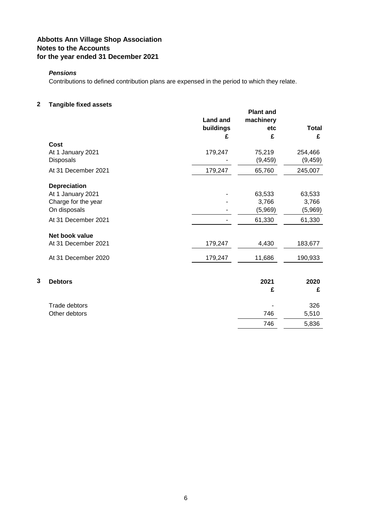# **Abbotts Ann Village Shop Association Notes to the Accounts for the year ended 31 December 2021**

### *Pensions*

Contributions to defined contribution plans are expensed in the period to which they relate.

### **2 Tangible fixed assets**

|   | i angibio naoa assots                                    | <b>Land and</b><br>buildings<br>£ | <b>Plant and</b><br>machinery<br>etc<br>£ | <b>Total</b><br>£          |
|---|----------------------------------------------------------|-----------------------------------|-------------------------------------------|----------------------------|
|   | Cost                                                     |                                   |                                           |                            |
|   | At 1 January 2021<br><b>Disposals</b>                    | 179,247                           | 75,219<br>(9, 459)                        | 254,466<br>(9, 459)        |
|   | At 31 December 2021                                      | 179,247                           | 65,760                                    | 245,007                    |
|   | <b>Depreciation</b>                                      |                                   |                                           |                            |
|   | At 1 January 2021<br>Charge for the year<br>On disposals |                                   | 63,533<br>3,766<br>(5,969)                | 63,533<br>3,766<br>(5,969) |
|   | At 31 December 2021                                      |                                   | 61,330                                    | 61,330                     |
|   | Net book value                                           |                                   |                                           |                            |
|   | At 31 December 2021                                      | 179,247                           | 4,430                                     | 183,677                    |
|   | At 31 December 2020                                      | 179,247                           | 11,686                                    | 190,933                    |
| 3 | <b>Debtors</b>                                           |                                   | 2021                                      | 2020                       |
|   |                                                          |                                   | £                                         | £                          |
|   | Trade debtors                                            |                                   |                                           | 326                        |
|   | Other debtors                                            |                                   | 746                                       | 5,510                      |
|   |                                                          |                                   | 746                                       | 5,836                      |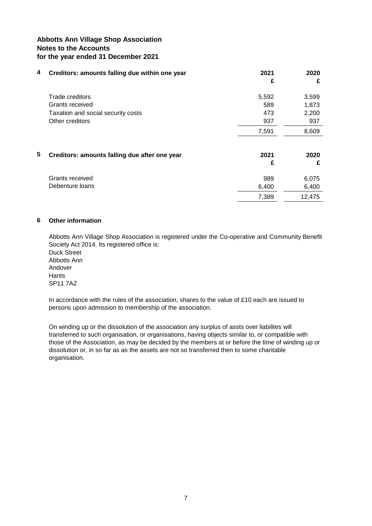### **Abbotts Ann Village Shop Association Notes to the Accounts for the year ended 31 December 2021**

| 4 | Creditors: amounts falling due within one year | 2021<br>£ | 2020<br>£ |
|---|------------------------------------------------|-----------|-----------|
|   | Trade creditors                                | 5,592     | 3,599     |
|   | Grants received                                | 589       | 1,873     |
|   | Taxation and social security costs             | 473       | 2,200     |
|   | Other creditors                                | 937       | 937       |
|   |                                                | 7,591     | 8,609     |
| 5 | Creditors: amounts falling due after one year  | 2021      | 2020      |
|   |                                                | £         | £         |
|   | Grants received                                | 989       | 6,075     |
|   | Debenture loans                                | 6,400     | 6,400     |
|   |                                                | 7,389     | 12,475    |

#### **6 Other information**

Duck Street Abbotts Ann Andover **Hants** Abbotts Ann Village Shop Association is registered under the Co-operative and Community Benefit Society Act 2014. Its registered office is:

SP11 7AZ

In accordance with the rules of the association, shares to the value of £10 each are issued to persons upon admission to membership of the association.

On winding up or the dissolution of the association any surplus of assts over liabilites will transferred to such organisation, or organisations, having objects similar to, or compatible with those of the Association, as may be decided by the members at or before the time of winding up or dissolution or, in so far as as the assets are not so transferred then to some charitable organisation.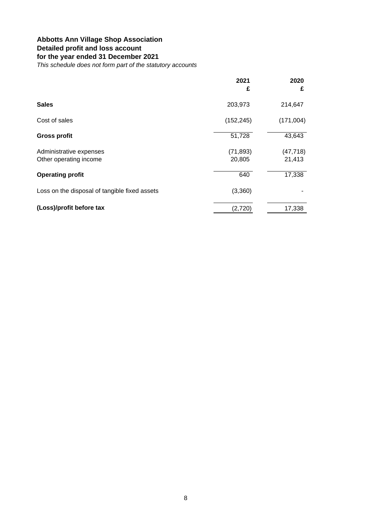# **Abbotts Ann Village Shop Association Detailed profit and loss account for the year ended 31 December 2021**

*This schedule does not form part of the statutory accounts*

|                                                   | 2021<br>£           | 2020<br>£           |
|---------------------------------------------------|---------------------|---------------------|
| <b>Sales</b>                                      | 203,973             | 214,647             |
| Cost of sales                                     | (152, 245)          | (171,004)           |
| <b>Gross profit</b>                               | 51,728              | 43,643              |
| Administrative expenses<br>Other operating income | (71, 893)<br>20,805 | (47, 718)<br>21,413 |
| <b>Operating profit</b>                           | 640                 | 17,338              |
| Loss on the disposal of tangible fixed assets     | (3,360)             |                     |
| (Loss)/profit before tax                          | (2,720)             | 17,338              |